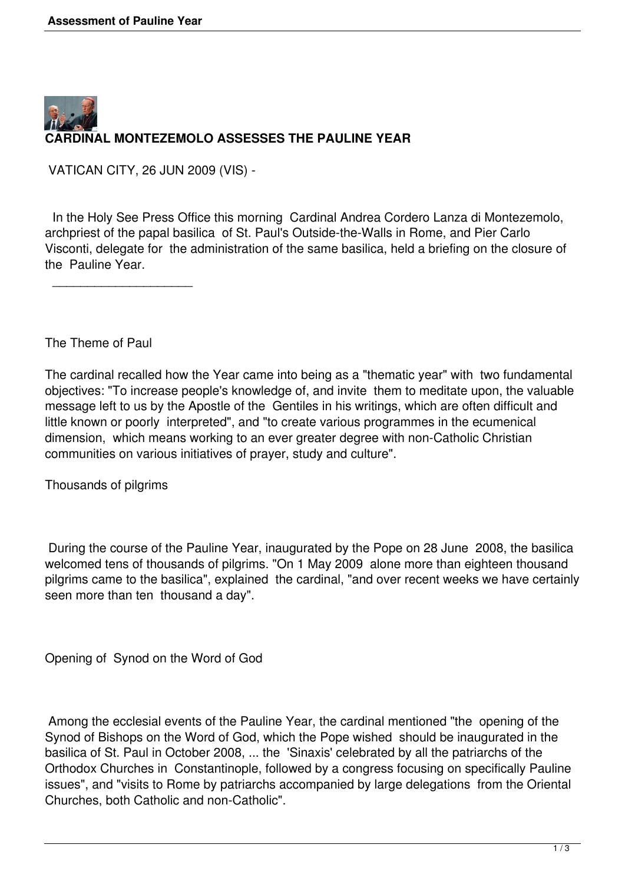

VATICAN CITY, 26 JUN 2009 (VIS) -

 In the Holy See Press Office this morning Cardinal Andrea Cordero Lanza di Montezemolo, archpriest of the papal basilica of St. Paul's Outside-the-Walls in Rome, and Pier Carlo Visconti, delegate for the administration of the same basilica, held a briefing on the closure of the Pauline Year.

The Theme of Paul

 $\overline{\phantom{a}}$  , where the contract of the contract of the contract of the contract of the contract of the contract of the contract of the contract of the contract of the contract of the contract of the contract of the contr

The cardinal recalled how the Year came into being as a "thematic year" with two fundamental objectives: "To increase people's knowledge of, and invite them to meditate upon, the valuable message left to us by the Apostle of the Gentiles in his writings, which are often difficult and little known or poorly interpreted", and "to create various programmes in the ecumenical dimension, which means working to an ever greater degree with non-Catholic Christian communities on various initiatives of prayer, study and culture".

Thousands of pilgrims

 During the course of the Pauline Year, inaugurated by the Pope on 28 June 2008, the basilica welcomed tens of thousands of pilgrims. "On 1 May 2009 alone more than eighteen thousand pilgrims came to the basilica", explained the cardinal, "and over recent weeks we have certainly seen more than ten thousand a day".

Opening of Synod on the Word of God

 Among the ecclesial events of the Pauline Year, the cardinal mentioned "the opening of the Synod of Bishops on the Word of God, which the Pope wished should be inaugurated in the basilica of St. Paul in October 2008, ... the 'Sinaxis' celebrated by all the patriarchs of the Orthodox Churches in Constantinople, followed by a congress focusing on specifically Pauline issues", and "visits to Rome by patriarchs accompanied by large delegations from the Oriental Churches, both Catholic and non-Catholic".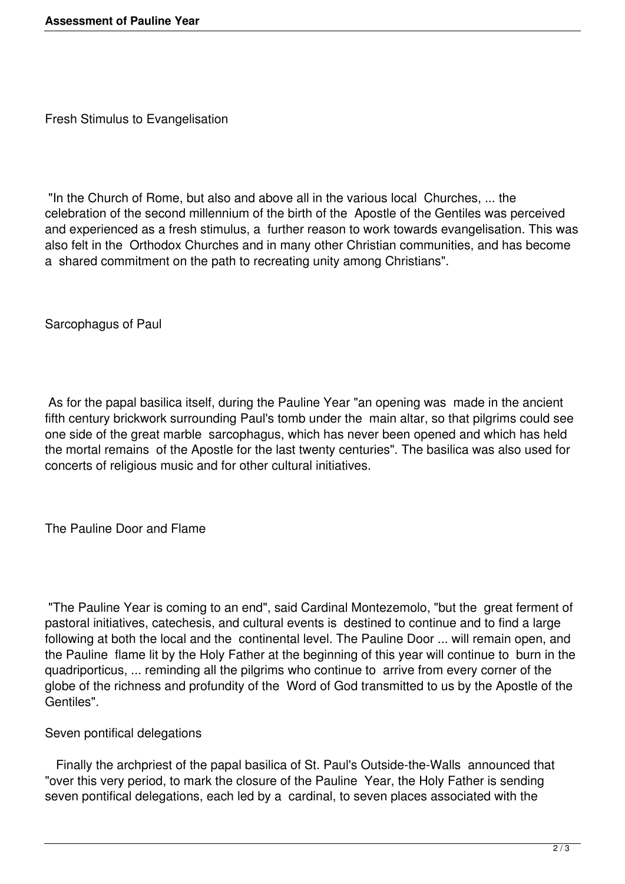Fresh Stimulus to Evangelisation

 "In the Church of Rome, but also and above all in the various local Churches, ... the celebration of the second millennium of the birth of the Apostle of the Gentiles was perceived and experienced as a fresh stimulus, a further reason to work towards evangelisation. This was also felt in the Orthodox Churches and in many other Christian communities, and has become a shared commitment on the path to recreating unity among Christians".

Sarcophagus of Paul

 As for the papal basilica itself, during the Pauline Year "an opening was made in the ancient fifth century brickwork surrounding Paul's tomb under the main altar, so that pilgrims could see one side of the great marble sarcophagus, which has never been opened and which has held the mortal remains of the Apostle for the last twenty centuries". The basilica was also used for concerts of religious music and for other cultural initiatives.

The Pauline Door and Flame

 "The Pauline Year is coming to an end", said Cardinal Montezemolo, "but the great ferment of pastoral initiatives, catechesis, and cultural events is destined to continue and to find a large following at both the local and the continental level. The Pauline Door ... will remain open, and the Pauline flame lit by the Holy Father at the beginning of this year will continue to burn in the quadriporticus, ... reminding all the pilgrims who continue to arrive from every corner of the globe of the richness and profundity of the Word of God transmitted to us by the Apostle of the Gentiles".

Seven pontifical delegations

 Finally the archpriest of the papal basilica of St. Paul's Outside-the-Walls announced that "over this very period, to mark the closure of the Pauline Year, the Holy Father is sending seven pontifical delegations, each led by a cardinal, to seven places associated with the